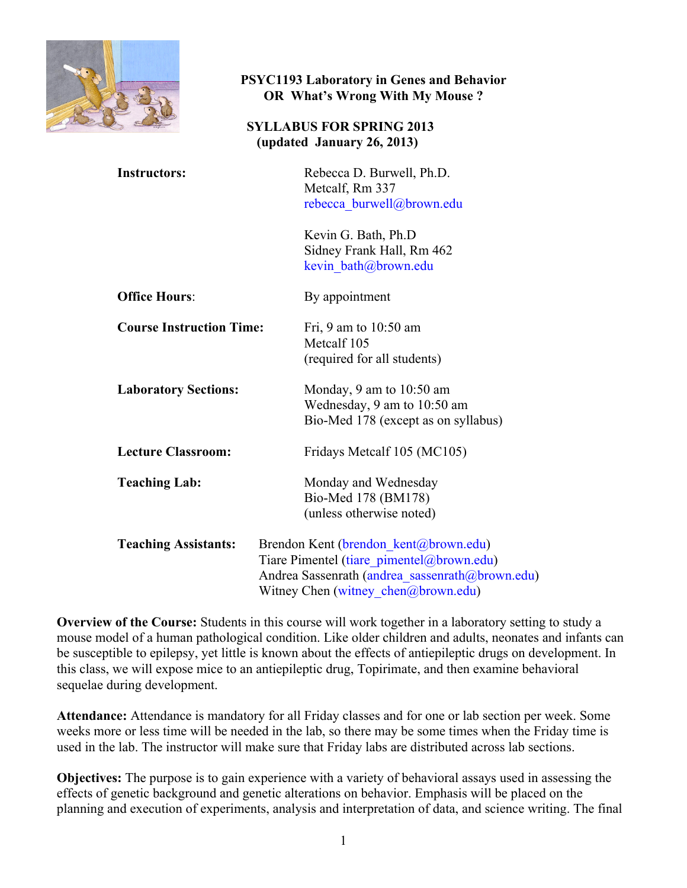

#### **PSYC1193 Laboratory in Genes and Behavior OR What's Wrong With My Mouse ?**

#### **SYLLABUS FOR SPRING 2013 (updated January 26, 2013)**

| <b>Instructors:</b>             | Rebecca D. Burwell, Ph.D.<br>Metcalf, Rm 337<br>rebecca burwell@brown.edu                                                                                                    |
|---------------------------------|------------------------------------------------------------------------------------------------------------------------------------------------------------------------------|
|                                 | Kevin G. Bath, Ph.D<br>Sidney Frank Hall, Rm 462<br>kevin bath@brown.edu                                                                                                     |
| <b>Office Hours:</b>            | By appointment                                                                                                                                                               |
| <b>Course Instruction Time:</b> | Fri, 9 am to $10:50$ am<br>Metcalf 105<br>(required for all students)                                                                                                        |
| <b>Laboratory Sections:</b>     | Monday, 9 am to $10:50$ am<br>Wednesday, 9 am to 10:50 am<br>Bio-Med 178 (except as on syllabus)                                                                             |
| <b>Lecture Classroom:</b>       | Fridays Metcalf 105 (MC105)                                                                                                                                                  |
| <b>Teaching Lab:</b>            | Monday and Wednesday<br>Bio-Med 178 (BM178)<br>(unless otherwise noted)                                                                                                      |
| <b>Teaching Assistants:</b>     | Brendon Kent (brendon_kent@brown.edu)<br>Tiare Pimentel (tiare pimentel@brown.edu)<br>Andrea Sassenrath (andrea sassenrath@brown.edu)<br>Witney Chen (witney_chen@brown.edu) |

**Overview of the Course:** Students in this course will work together in a laboratory setting to study a mouse model of a human pathological condition. Like older children and adults, neonates and infants can be susceptible to epilepsy, yet little is known about the effects of antiepileptic drugs on development. In this class, we will expose mice to an antiepileptic drug, Topirimate, and then examine behavioral sequelae during development.

**Attendance:** Attendance is mandatory for all Friday classes and for one or lab section per week. Some weeks more or less time will be needed in the lab, so there may be some times when the Friday time is used in the lab. The instructor will make sure that Friday labs are distributed across lab sections.

**Objectives:** The purpose is to gain experience with a variety of behavioral assays used in assessing the effects of genetic background and genetic alterations on behavior. Emphasis will be placed on the planning and execution of experiments, analysis and interpretation of data, and science writing. The final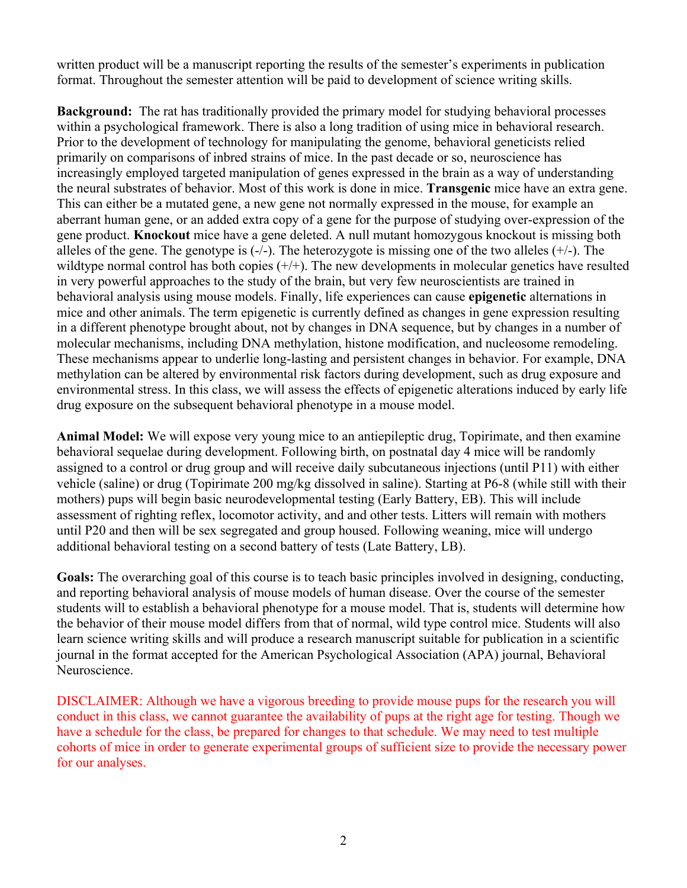written product will be a manuscript reporting the results of the semester's experiments in publication format. Throughout the semester attention will be paid to development of science writing skills.

**Background:** The rat has traditionally provided the primary model for studying behavioral processes within a psychological framework. There is also a long tradition of using mice in behavioral research. Prior to the development of technology for manipulating the genome, behavioral geneticists relied primarily on comparisons of inbred strains of mice. In the past decade or so, neuroscience has increasingly employed targeted manipulation of genes expressed in the brain as a way of understanding the neural substrates of behavior. Most of this work is done in mice. **Transgenic** mice have an extra gene. This can either be a mutated gene, a new gene not normally expressed in the mouse, for example an aberrant human gene, or an added extra copy of a gene for the purpose of studying over-expression of the gene product. **Knockout** mice have a gene deleted. A null mutant homozygous knockout is missing both alleles of the gene. The genotype is  $(-)$ . The heterozygote is missing one of the two alleles  $(+)$ . The wildtype normal control has both copies  $(+/+)$ . The new developments in molecular genetics have resulted in very powerful approaches to the study of the brain, but very few neuroscientists are trained in behavioral analysis using mouse models. Finally, life experiences can cause **epigenetic** alternations in mice and other animals. The term epigenetic is currently defined as changes in gene expression resulting in a different phenotype brought about, not by changes in DNA sequence, but by changes in a number of molecular mechanisms, including DNA methylation, histone modification, and nucleosome remodeling. These mechanisms appear to underlie long-lasting and persistent changes in behavior. For example, DNA methylation can be altered by environmental risk factors during development, such as drug exposure and environmental stress. In this class, we will assess the effects of epigenetic alterations induced by early life drug exposure on the subsequent behavioral phenotype in a mouse model.

**Animal Model:** We will expose very young mice to an antiepileptic drug, Topirimate, and then examine behavioral sequelae during development. Following birth, on postnatal day 4 mice will be randomly assigned to a control or drug group and will receive daily subcutaneous injections (until P11) with either vehicle (saline) or drug (Topirimate 200 mg/kg dissolved in saline). Starting at P6-8 (while still with their mothers) pups will begin basic neurodevelopmental testing (Early Battery, EB). This will include assessment of righting reflex, locomotor activity, and and other tests. Litters will remain with mothers until P20 and then will be sex segregated and group housed. Following weaning, mice will undergo additional behavioral testing on a second battery of tests (Late Battery, LB).

**Goals:** The overarching goal of this course is to teach basic principles involved in designing, conducting, and reporting behavioral analysis of mouse models of human disease. Over the course of the semester students will to establish a behavioral phenotype for a mouse model. That is, students will determine how the behavior of their mouse model differs from that of normal, wild type control mice. Students will also learn science writing skills and will produce a research manuscript suitable for publication in a scientific journal in the format accepted for the American Psychological Association (APA) journal, Behavioral Neuroscience.

DISCLAIMER: Although we have a vigorous breeding to provide mouse pups for the research you will conduct in this class, we cannot guarantee the availability of pups at the right age for testing. Though we have a schedule for the class, be prepared for changes to that schedule. We may need to test multiple cohorts of mice in order to generate experimental groups of sufficient size to provide the necessary power for our analyses.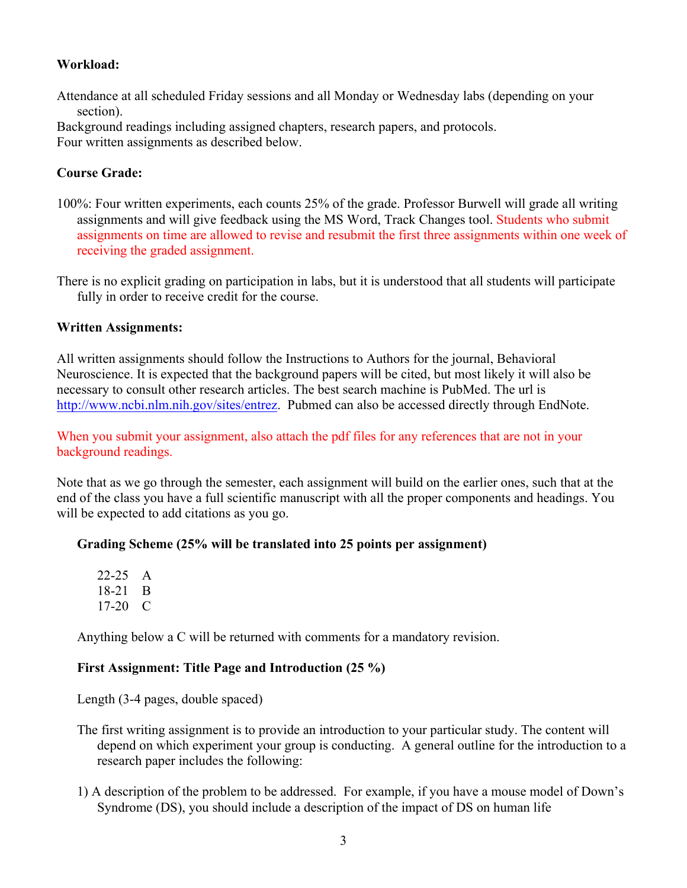#### **Workload:**

Attendance at all scheduled Friday sessions and all Monday or Wednesday labs (depending on your section).

Background readings including assigned chapters, research papers, and protocols. Four written assignments as described below.

#### **Course Grade:**

- 100%: Four written experiments, each counts 25% of the grade. Professor Burwell will grade all writing assignments and will give feedback using the MS Word, Track Changes tool. Students who submit assignments on time are allowed to revise and resubmit the first three assignments within one week of receiving the graded assignment.
- There is no explicit grading on participation in labs, but it is understood that all students will participate fully in order to receive credit for the course.

#### **Written Assignments:**

All written assignments should follow the Instructions to Authors for the journal, Behavioral Neuroscience. It is expected that the background papers will be cited, but most likely it will also be necessary to consult other research articles. The best search machine is PubMed. The url is http://www.ncbi.nlm.nih.gov/sites/entrez. Pubmed can also be accessed directly through EndNote.

When you submit your assignment, also attach the pdf files for any references that are not in your background readings.

Note that as we go through the semester, each assignment will build on the earlier ones, such that at the end of the class you have a full scientific manuscript with all the proper components and headings. You will be expected to add citations as you go.

#### **Grading Scheme (25% will be translated into 25 points per assignment)**

| 22-25     | A |
|-----------|---|
| 18-21     | B |
| $17 - 20$ | € |

Anything below a C will be returned with comments for a mandatory revision.

#### **First Assignment: Title Page and Introduction (25 %)**

Length (3-4 pages, double spaced)

- The first writing assignment is to provide an introduction to your particular study. The content will depend on which experiment your group is conducting. A general outline for the introduction to a research paper includes the following:
- 1) A description of the problem to be addressed. For example, if you have a mouse model of Down's Syndrome (DS), you should include a description of the impact of DS on human life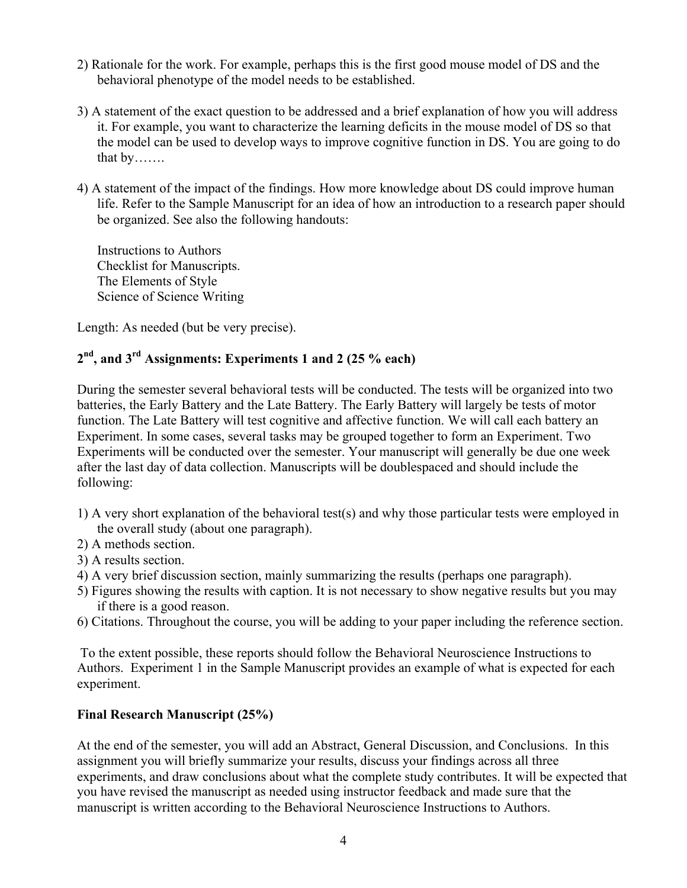- 2) Rationale for the work. For example, perhaps this is the first good mouse model of DS and the behavioral phenotype of the model needs to be established.
- 3) A statement of the exact question to be addressed and a brief explanation of how you will address it. For example, you want to characterize the learning deficits in the mouse model of DS so that the model can be used to develop ways to improve cognitive function in DS. You are going to do that by…….
- 4) A statement of the impact of the findings. How more knowledge about DS could improve human life. Refer to the Sample Manuscript for an idea of how an introduction to a research paper should be organized. See also the following handouts:

Instructions to Authors Checklist for Manuscripts. The Elements of Style Science of Science Writing

Length: As needed (but be very precise).

### **2nd, and 3rd Assignments: Experiments 1 and 2 (25 % each)**

During the semester several behavioral tests will be conducted. The tests will be organized into two batteries, the Early Battery and the Late Battery. The Early Battery will largely be tests of motor function. The Late Battery will test cognitive and affective function. We will call each battery an Experiment. In some cases, several tasks may be grouped together to form an Experiment. Two Experiments will be conducted over the semester. Your manuscript will generally be due one week after the last day of data collection. Manuscripts will be doublespaced and should include the following:

- 1) A very short explanation of the behavioral test(s) and why those particular tests were employed in the overall study (about one paragraph).
- 2) A methods section.
- 3) A results section.
- 4) A very brief discussion section, mainly summarizing the results (perhaps one paragraph).
- 5) Figures showing the results with caption. It is not necessary to show negative results but you may if there is a good reason.
- 6) Citations. Throughout the course, you will be adding to your paper including the reference section.

To the extent possible, these reports should follow the Behavioral Neuroscience Instructions to Authors. Experiment 1 in the Sample Manuscript provides an example of what is expected for each experiment.

#### **Final Research Manuscript (25%)**

At the end of the semester, you will add an Abstract, General Discussion, and Conclusions. In this assignment you will briefly summarize your results, discuss your findings across all three experiments, and draw conclusions about what the complete study contributes. It will be expected that you have revised the manuscript as needed using instructor feedback and made sure that the manuscript is written according to the Behavioral Neuroscience Instructions to Authors.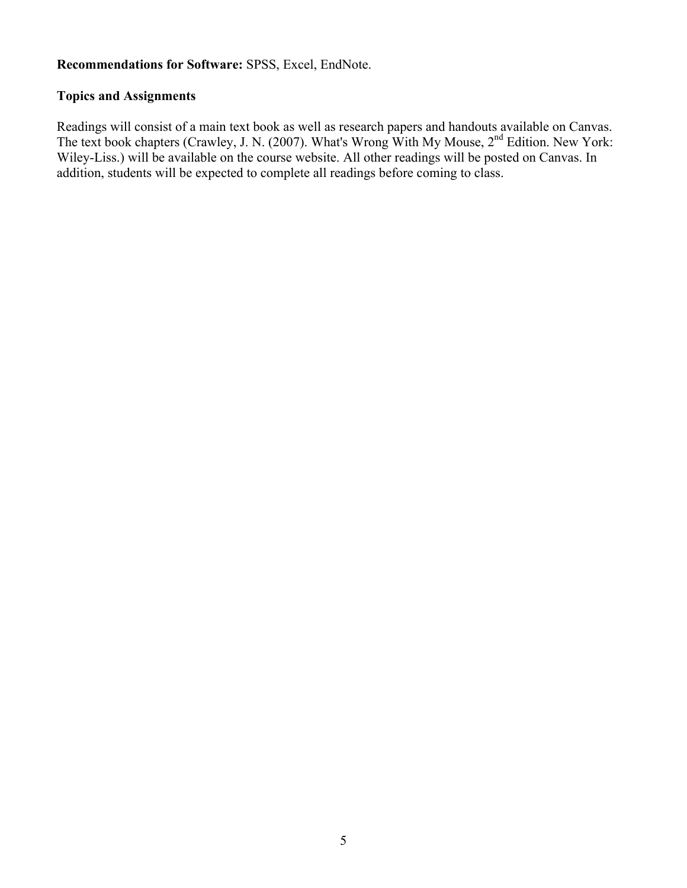#### **Recommendations for Software:** SPSS, Excel, EndNote.

#### **Topics and Assignments**

Readings will consist of a main text book as well as research papers and handouts available on Canvas. The text book chapters (Crawley, J. N. (2007). What's Wrong With My Mouse, 2nd Edition. New York: Wiley-Liss.) will be available on the course website. All other readings will be posted on Canvas. In addition, students will be expected to complete all readings before coming to class.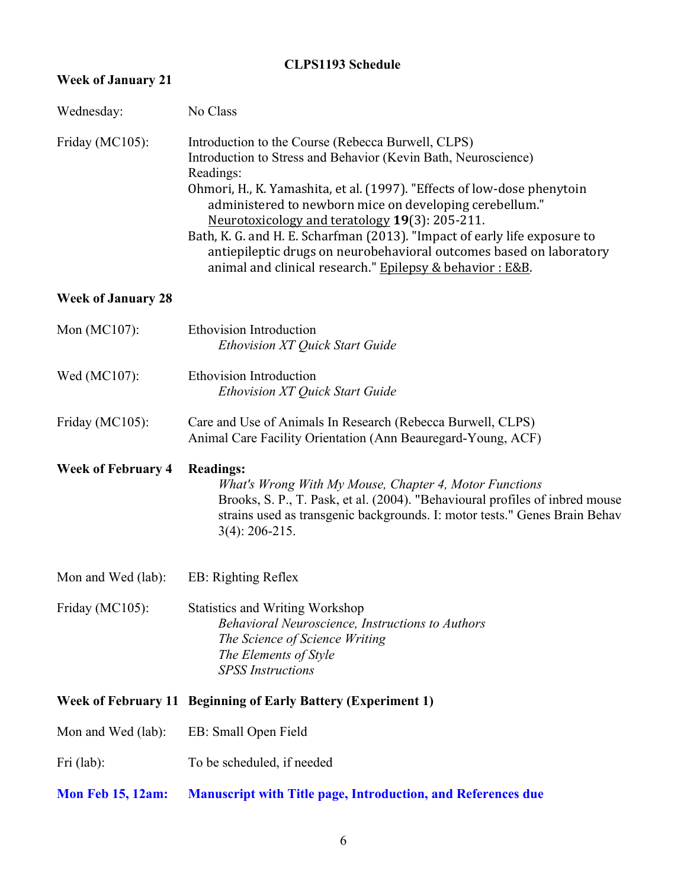# **CLPS1193 Schedule**

| <b>Week of January 21</b>              |                                                                                                                                                                                                                                                                                                                                                                                                                                                                                                                                            |
|----------------------------------------|--------------------------------------------------------------------------------------------------------------------------------------------------------------------------------------------------------------------------------------------------------------------------------------------------------------------------------------------------------------------------------------------------------------------------------------------------------------------------------------------------------------------------------------------|
| Wednesday:                             | No Class                                                                                                                                                                                                                                                                                                                                                                                                                                                                                                                                   |
| Friday (MC105):                        | Introduction to the Course (Rebecca Burwell, CLPS)<br>Introduction to Stress and Behavior (Kevin Bath, Neuroscience)<br>Readings:<br>Ohmori, H., K. Yamashita, et al. (1997). "Effects of low-dose phenytoin<br>administered to newborn mice on developing cerebellum."<br>Neurotoxicology and teratology 19(3): 205-211.<br>Bath, K. G. and H. E. Scharfman (2013). "Impact of early life exposure to<br>antiepileptic drugs on neurobehavioral outcomes based on laboratory<br>animal and clinical research." Epilepsy & behavior : E&B. |
| <b>Week of January 28</b>              |                                                                                                                                                                                                                                                                                                                                                                                                                                                                                                                                            |
| Mon (MC107):                           | Ethovision Introduction<br><b>Ethovision XT Quick Start Guide</b>                                                                                                                                                                                                                                                                                                                                                                                                                                                                          |
| Wed (MC107):                           | <b>Ethovision Introduction</b><br>Ethovision XT Quick Start Guide                                                                                                                                                                                                                                                                                                                                                                                                                                                                          |
| Friday (MC105):                        | Care and Use of Animals In Research (Rebecca Burwell, CLPS)<br>Animal Care Facility Orientation (Ann Beauregard-Young, ACF)                                                                                                                                                                                                                                                                                                                                                                                                                |
| <b>Week of February 4</b>              | <b>Readings:</b><br>What's Wrong With My Mouse, Chapter 4, Motor Functions<br>Brooks, S. P., T. Pask, et al. (2004). "Behavioural profiles of inbred mouse<br>strains used as transgenic backgrounds. I: motor tests." Genes Brain Behav<br>$3(4)$ : 206-215.                                                                                                                                                                                                                                                                              |
| Mon and Wed (lab): EB: Righting Reflex |                                                                                                                                                                                                                                                                                                                                                                                                                                                                                                                                            |
| Friday (MC105):                        | <b>Statistics and Writing Workshop</b><br>Behavioral Neuroscience, Instructions to Authors<br>The Science of Science Writing<br>The Elements of Style<br><b>SPSS</b> Instructions                                                                                                                                                                                                                                                                                                                                                          |
|                                        | <b>Week of February 11 Beginning of Early Battery (Experiment 1)</b>                                                                                                                                                                                                                                                                                                                                                                                                                                                                       |
| Mon and Wed (lab):                     | EB: Small Open Field                                                                                                                                                                                                                                                                                                                                                                                                                                                                                                                       |
| Fri $(lab)$ :                          | To be scheduled, if needed                                                                                                                                                                                                                                                                                                                                                                                                                                                                                                                 |
| <b>Mon Feb 15, 12am:</b>               | <b>Manuscript with Title page, Introduction, and References due</b>                                                                                                                                                                                                                                                                                                                                                                                                                                                                        |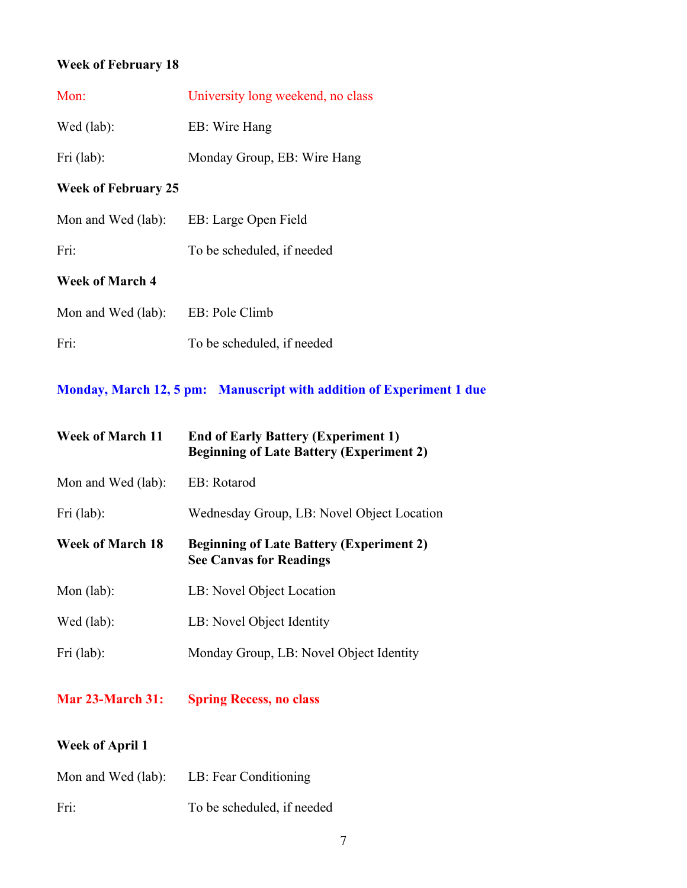# **Week of February 18**

| Mon:                       | University long weekend, no class |
|----------------------------|-----------------------------------|
| Wed (lab):                 | EB: Wire Hang                     |
| Fri (lab):                 | Monday Group, EB: Wire Hang       |
| <b>Week of February 25</b> |                                   |
| Mon and Wed (lab):         | EB: Large Open Field              |
| Fri:                       | To be scheduled, if needed        |
| <b>Week of March 4</b>     |                                   |
| Mon and Wed (lab):         | EB: Pole Climb                    |
| Fri:                       | To be scheduled, if needed        |
|                            |                                   |

# **Monday, March 12, 5 pm: Manuscript with addition of Experiment 1 due**

| <b>Week of March 11</b> | <b>End of Early Battery (Experiment 1)</b><br><b>Beginning of Late Battery (Experiment 2)</b> |
|-------------------------|-----------------------------------------------------------------------------------------------|
| Mon and Wed (lab):      | EB: Rotarod                                                                                   |
| Fri $(lab)$ :           | Wednesday Group, LB: Novel Object Location                                                    |
| <b>Week of March 18</b> | <b>Beginning of Late Battery (Experiment 2)</b><br><b>See Canvas for Readings</b>             |
| Mon $(lab)$ :           | LB: Novel Object Location                                                                     |
| Wed (lab):              | LB: Novel Object Identity                                                                     |
| Fri (lab):              | Monday Group, LB: Novel Object Identity                                                       |

**Mar 23-March 31: Spring Recess, no class**

### **Week of April 1**

| Mon and Wed (lab): | LB: Fear Conditioning      |
|--------------------|----------------------------|
| Fri:               | To be scheduled, if needed |